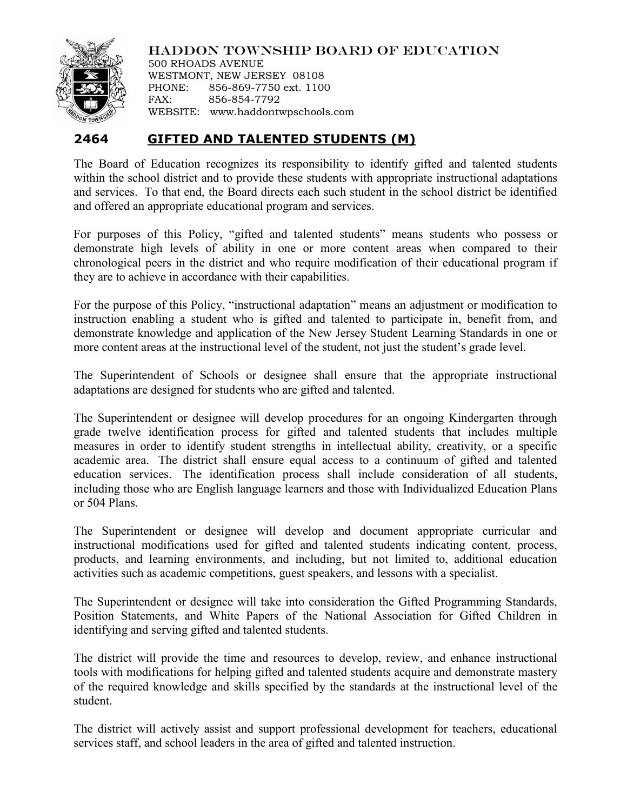

HADDON TOWNSHIP BOARD OF EDUCATION

500 RHOADS AVENUE WESTMONT, NEW JERSEY 08108 PHONE: 856-869-7750 ext. 1100 FAX: 856-854-7792 WEBSITE: www.haddontwpschools.com

## **2464 GIFTED AND TALENTED STUDENTS (M)**

The Board of Education recognizes its responsibility to identify gifted and talented students within the school district and to provide these students with appropriate instructional adaptations and services. To that end, the Board directs each such student in the school district be identified and offered an appropriate educational program and services.

For purposes of this Policy, "gifted and talented students" means students who possess or demonstrate high levels of ability in one or more content areas when compared to their chronological peers in the district and who require modification of their educational program if they are to achieve in accordance with their capabilities.

For the purpose of this Policy, "instructional adaptation" means an adjustment or modification to instruction enabling a student who is gifted and talented to participate in, benefit from, and demonstrate knowledge and application of the New Jersey Student Learning Standards in one or more content areas at the instructional level of the student, not just the student's grade level.

The Superintendent of Schools or designee shall ensure that the appropriate instructional adaptations are designed for students who are gifted and talented.

The Superintendent or designee will develop procedures for an ongoing Kindergarten through grade twelve identification process for gifted and talented students that includes multiple measures in order to identify student strengths in intellectual ability, creativity, or a specific academic area. The district shall ensure equal access to a continuum of gifted and talented education services. The identification process shall include consideration of all students, including those who are English language learners and those with Individualized Education Plans or 504 Plans.

The Superintendent or designee will develop and document appropriate curricular and instructional modifications used for gifted and talented students indicating content, process, products, and learning environments, and including, but not limited to, additional education activities such as academic competitions, guest speakers, and lessons with a specialist.

The Superintendent or designee will take into consideration the Gifted Programming Standards, Position Statements, and White Papers of the National Association for Gifted Children in identifying and serving gifted and talented students.

The district will provide the time and resources to develop, review, and enhance instructional tools with modifications for helping gifted and talented students acquire and demonstrate mastery of the required knowledge and skills specified by the standards at the instructional level of the student.

The district will actively assist and support professional development for teachers, educational services staff, and school leaders in the area of gifted and talented instruction.